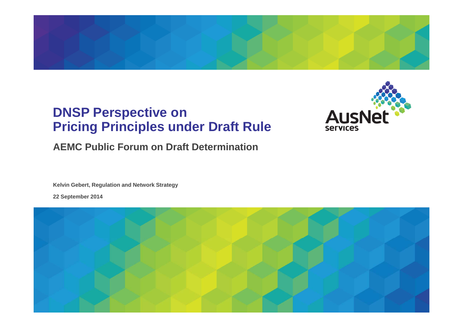

### **DNSP Perspective on Pricing Principles under Draft Rule**



### **AEMC Public Forum on Draft Determination**

**Kelvin Gebert, Regulation and Network Strategy**

**22 September 2014**

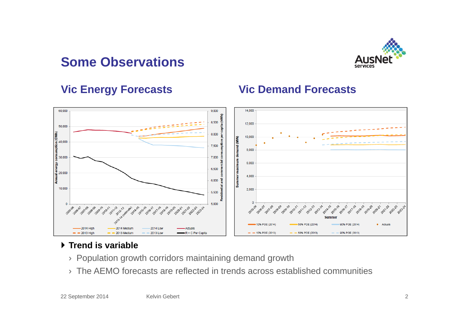## **Some Observations**



### **Vic Energy Forecasts**





### **Trend is variable**

- › Population growth corridors maintaining demand growth
- › The AEMO forecasts are reflected in trends across established communities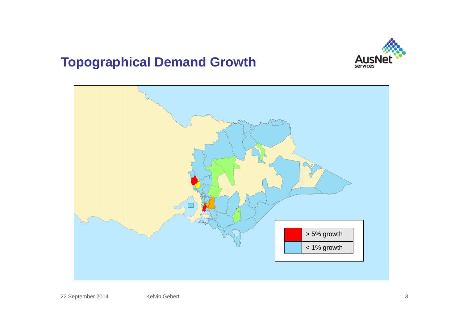## **Topographical Demand Growth**



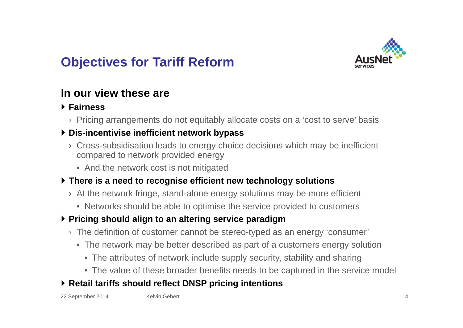# **Objectives for Tariff Reform**



### **In our view these are**

### **Fairness**

› Pricing arrangements do not equitably allocate costs on a 'cost to serve' basis

### **Dis-incentivise inefficient network bypass**

- › Cross-subsidisation leads to energy choice decisions which may be inefficient compared to network provided energy
	- And the network cost is not mitigated

#### **There is a need to recognise efficient new technology solutions**

- › At the network fringe, stand-alone energy solutions may be more efficient
	- Networks should be able to optimise the service provided to customers

### **Pricing should align to an altering service paradigm**

- › The definition of customer cannot be stereo-typed as an energy 'consumer'
	- The network may be better described as part of a customers energy solution
		- The attributes of network include supply security, stability and sharing
		- The value of these broader benefits needs to be captured in the service model

### **Retail tariffs should reflect DNSP pricing intentions**

22 September 2014 Kelvin Gebert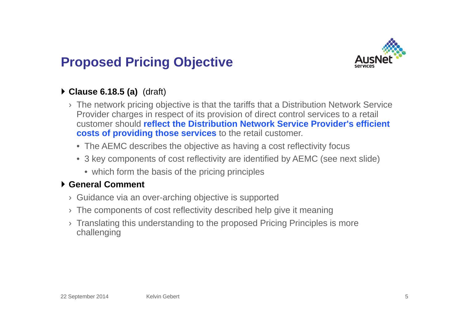# **Proposed Pricing Objective**



### **Clause 6.18.5 (a)** (draft)

- › The network pricing objective is that the tariffs that a Distribution Network Service Provider charges in respect of its provision of direct control services to a retail customer should **reflect the Distribution Network Service Provider's efficient costs of providing those services** to the retail customer.
	- The AEMC describes the objective as having a cost reflectivity focus
	- 3 key components of cost reflectivity are identified by AEMC (see next slide)
		- which form the basis of the pricing principles

#### **General Comment**

- › Guidance via an over-arching objective is supported
- › The components of cost reflectivity described help give it meaning
- › Translating this understanding to the proposed Pricing Principles is more challenging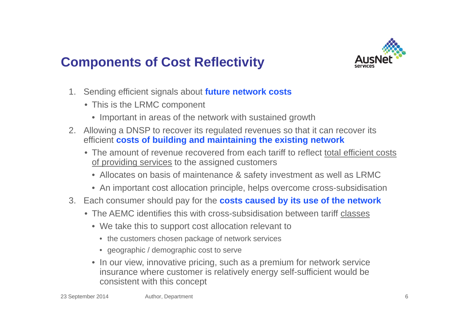

# **Components of Cost Reflectivity**

- 1. Sending efficient signals about **future network costs**
	- This is the LRMC component
		- Important in areas of the network with sustained growth
- 2. Allowing a DNSP to recover its regulated revenues so that it can recover its efficient **costs of building and maintaining the existing network**
	- The amount of revenue recovered from each tariff to reflect total efficient costs of providing services to the assigned customers
		- Allocates on basis of maintenance & safety investment as well as LRMC
		- An important cost allocation principle, helps overcome cross-subsidisation
- 3. Each consumer should pay for the **costs caused by its use of the network**
	- The AEMC identifies this with cross-subsidisation between tariff classes
		- We take this to support cost allocation relevant to
			- the customers chosen package of network services
			- geographic / demographic cost to serve
		- In our view, innovative pricing, such as a premium for network service insurance where customer is relatively energy self-sufficient would be consistent with this concept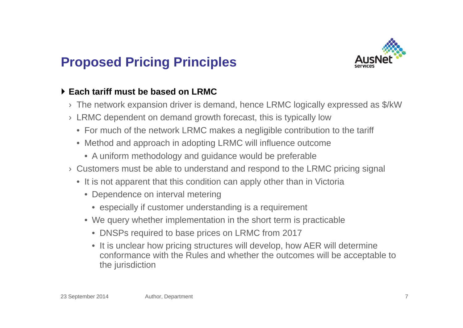## **Proposed Pricing Principles**



### **Each tariff must be based on LRMC**

- $\rightarrow$  The network expansion driver is demand, hence LRMC logically expressed as \$/kW
- › LRMC dependent on demand growth forecast, this is typically low
	- For much of the network LRMC makes a negligible contribution to the tariff
	- Method and approach in adopting LRMC will influence outcome
		- A uniform methodology and guidance would be preferable
- › Customers must be able to understand and respond to the LRMC pricing signal
	- It is not apparent that this condition can apply other than in Victoria
		- Dependence on interval metering
			- especially if customer understanding is a requirement
		- We query whether implementation in the short term is practicable
			- DNSPs required to base prices on LRMC from 2017
			- It is unclear how pricing structures will develop, how AER will determine conformance with the Rules and whether the outcomes will be acceptable to the jurisdiction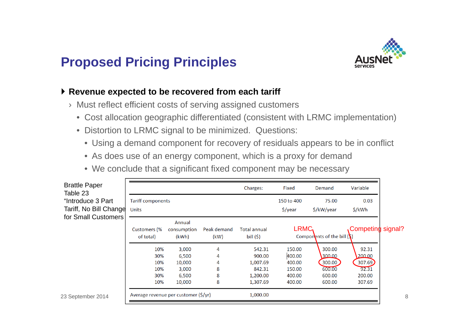## **Proposed Pricing Principles**



#### **Revenue expected to be recovered from each tariff**

- › Must reflect efficient costs of serving assigned customers
	- Cost allocation geographic differentiated (consistent with LRMC implementation)
	- Distortion to LRMC signal to be minimized. Questions:
		- Using a demand component for recovery of residuals appears to be in conflict
		- As does use of an energy component, which is a proxy for demand
		- We conclude that a significant fixed component may be necessary

| <b>Brattle Paper</b><br>Table 23              |                                        |                                                      |                       | Charges:                                                       | Fixed                                                    | Demand                                                   | Variable                                               |  |
|-----------------------------------------------|----------------------------------------|------------------------------------------------------|-----------------------|----------------------------------------------------------------|----------------------------------------------------------|----------------------------------------------------------|--------------------------------------------------------|--|
| "Introduce 3 Part                             | <b>Tariff components</b>               |                                                      |                       |                                                                | 150 to 400                                               | 75.00                                                    | 0.03                                                   |  |
| Tariff, No Bill Change<br>for Small Customers | <b>Units</b>                           |                                                      |                       |                                                                | $\frac{2}{\sqrt{2}}$                                     | \$/kW/year                                               | \$/kWh                                                 |  |
|                                               | Customers (%<br>of total)              | Annual<br>consumption<br>(kWh)                       | Peak demand<br>(kW)   | <b>Total annual</b><br>bill $(5)$                              | LRMC                                                     | Components of the bill $(\xi)$                           | Competing signal?                                      |  |
|                                               | 10%<br>30%<br>10%<br>10%<br>30%<br>10% | 3,000<br>6,500<br>10,000<br>3,000<br>6,500<br>10,000 | 4<br>4<br>8<br>8<br>8 | 542.31<br>900.00<br>1,007.69<br>842.31<br>1,200.00<br>1,307.69 | 150.00<br>400.00<br>400.00<br>150.00<br>400.00<br>400.00 | 300.00<br>300.00<br>300.00<br>600.00<br>600.00<br>600.00 | 92.31<br>200.00<br>307.69<br>92.31<br>200.00<br>307.69 |  |
| 23 September 2014                             | Average revenue per customer (\$/yr)   |                                                      |                       | 1,000.00                                                       |                                                          |                                                          |                                                        |  |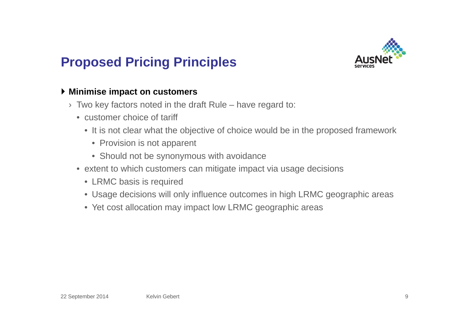

## **Proposed Pricing Principles**

#### **Minimise impact on customers**

- $\rightarrow$  Two key factors noted in the draft Rule have regard to:
	- customer choice of tariff
		- It is not clear what the objective of choice would be in the proposed framework
			- Provision is not apparent
			- Should not be synonymous with avoidance
	- extent to which customers can mitigate impact via usage decisions
		- LRMC basis is required
		- Usage decisions will only influence outcomes in high LRMC geographic areas
		- Yet cost allocation may impact low LRMC geographic areas